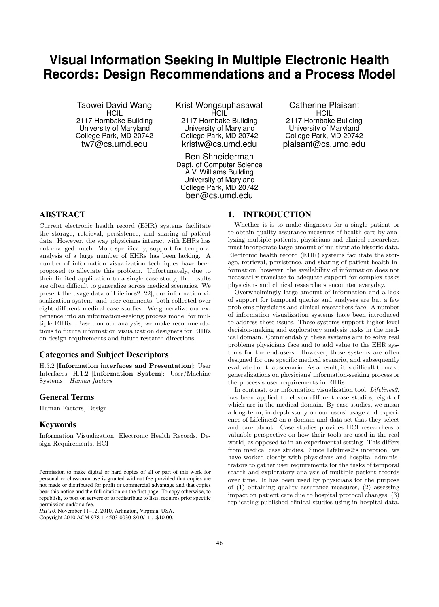# **Visual Information Seeking in Multiple Electronic Health Records: Design Recommendations and a Process Model**

Taowei David Wang **HCIL** 2117 Hornbake Building University of Maryland College Park, MD 20742 tw7@cs.umd.edu

Krist Wongsuphasawat **HCIL** 2117 Hornbake Building University of Maryland College Park, MD 20742 kristw@cs.umd.edu

Ben Shneiderman Dept. of Computer Science A.V. Williams Building University of Maryland College Park, MD 20742 ben@cs.umd.edu

Catherine Plaisant **HCIL** 2117 Hornbake Building University of Maryland College Park, MD 20742 plaisant@cs.umd.edu

## ABSTRACT

Current electronic health record (EHR) systems facilitate the storage, retrieval, persistence, and sharing of patient data. However, the way physicians interact with EHRs has not changed much. More specifically, support for temporal analysis of a large number of EHRs has been lacking. A number of information visualization techniques have been proposed to alleviate this problem. Unfortunately, due to their limited application to a single case study, the results are often difficult to generalize across medical scenarios. We present the usage data of Lifelines2 [22], our information visualization system, and user comments, both collected over eight different medical case studies. We generalize our experience into an information-seeking process model for multiple EHRs. Based on our analysis, we make recommendations to future information visualization designers for EHRs on design requirements and future research directions.

## Categories and Subject Descriptors

H.5.2 [Information interfaces and Presentation]: User Interfaces; H.1.2 [Information System]: User/Machine Systems—Human factors

## General Terms

Human Factors, Design

## Keywords

Information Visualization, Electronic Health Records, Design Requirements, HCI

*IHI'10,* November 11–12, 2010, Arlington, Virginia, USA.

Copyright 2010 ACM 978-1-4503-0030-8/10/11 ...\$10.00.

#### 1. INTRODUCTION

Whether it is to make diagnoses for a single patient or to obtain quality assurance measures of health care by analyzing multiple patients, physicians and clinical researchers must incorporate large amount of multivariate historic data. Electronic health record (EHR) systems facilitate the storage, retrieval, persistence, and sharing of patient health information; however, the availability of information does not necessarily translate to adequate support for complex tasks physicians and clinical researchers encounter everyday.

Overwhelmingly large amount of information and a lack of support for temporal queries and analyses are but a few problems physicians and clinical researchers face. A number of information visualization systems have been introduced to address these issues. These systems support higher-level decision-making and exploratory analysis tasks in the medical domain. Commendably, these systems aim to solve real problems physicians face and to add value to the EHR systems for the end-users. However, these systems are often designed for one specific medical scenario, and subsequently evaluated on that scenario. As a result, it is difficult to make generalizations on physicians' information-seeking process or the process's user requirements in EHRs.

In contrast, our information visualization tool, Lifelines2, has been applied to eleven different case studies, eight of which are in the medical domain. By case studies, we mean a long-term, in-depth study on our users' usage and experience of Lifelines2 on a domain and data set that they select and care about. Case studies provides HCI researchers a valuable perspective on how their tools are used in the real world, as opposed to in an experimental setting. This differs from medical case studies. Since Lifelines2's inception, we have worked closely with physicians and hospital administrators to gather user requirements for the tasks of temporal search and exploratory analysis of multiple patient records over time. It has been used by physicians for the purpose of (1) obtaining quality assurance measures, (2) assessing impact on patient care due to hospital protocol changes, (3) replicating published clinical studies using in-hospital data,

Permission to make digital or hard copies of all or part of this work for personal or classroom use is granted without fee provided that copies are not made or distributed for profit or commercial advantage and that copies bear this notice and the full citation on the first page. To copy otherwise, to republish, to post on servers or to redistribute to lists, requires prior specific permission and/or a fee.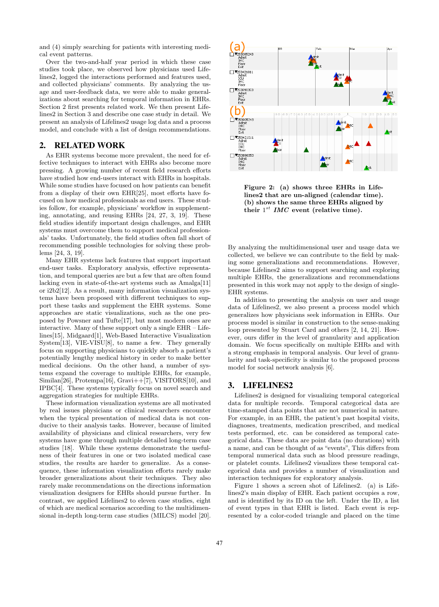and (4) simply searching for patients with interesting medical event patterns.

Over the two-and-half year period in which these case studies took place, we observed how physicians used Lifelines2, logged the interactions performed and features used, and collected physicians' comments. By analyzing the usage and user-feedback data, we were able to make generalizations about searching for temporal information in EHRs. Section 2 first presents related work. We then present Lifelines2 in Section 3 and describe one case study in detail. We present an analysis of Lifelines2 usage log data and a process model, and conclude with a list of design recommendations.

#### 2. RELATED WORK

As EHR systems become more prevalent, the need for effective techniques to interact with EHRs also become more pressing. A growing number of recent field research efforts have studied how end-users interact with EHRs in hospitals. While some studies have focused on how patients can benefit from a display of their own EHR[25], most efforts have focused on how medical professionals as end users. These studies follow, for example, physicians' workflow in supplementing, annotating, and reusing EHRs [24, 27, 3, 19]. These field studies identify important design challenges, and EHR systems must overcome them to support medical professionals' tasks. Unfortunately, the field studies often fall short of recommending possible technologies for solving these problems [24, 3, 19].

Many EHR systems lack features that support important end-user tasks. Exploratory analysis, effective representation, and temporal queries are but a few that are often found lacking even in state-of-the-art systems such as Amalga[11] or i2b2[12]. As a result, many information visualization systems have been proposed with different techniques to support these tasks and supplement the EHR systems. Some approaches are static visualizations, such as the one proposed by Powsner and Tufte[17], but most modern ones are interactive. Many of these support only a single EHR – Lifelines[15], Midgaard[1], Web-Based Interactive Visualization System[13], VIE-VISU[8], to name a few. They generally focus on supporting physicians to quickly absorb a patient's potentially lengthy medical history in order to make better medical decisions. On the other hand, a number of systems expand the coverage to multiple EHRs, for example, Similan[26], Protempa[16], Gravi++[7], VISITORS[10], and IPBC[4]. These systems typically focus on novel search and aggregation strategies for multiple EHRs.

These information visualization systems are all motivated by real issues physicians or clinical researchers encounter when the typical presentation of medical data is not conducive to their analysis tasks. However, because of limited availability of physicians and clinical researchers, very few systems have gone through multiple detailed long-term case studies [18]. While these systems demonstrate the usefulness of their features in one or two isolated medical case studies, the results are harder to generalize. As a consequence, these information visualization efforts rarely make broader generalizations about their techniques. They also rarely make recommendations on the directions information visualization designers for EHRs should pursue further. In contrast, we applied Lifelines2 to eleven case studies, eight of which are medical scenarios according to the multidimensional in-depth long-term case studies (MILCS) model [20].



Figure 2: (a) shows three EHRs in Lifelines2 that are un-aligned (calendar time). (b) shows the same three EHRs aligned by their  $1^{st}$  *IMC* event (relative time).

By analyzing the multidimensional user and usage data we collected, we believe we can contribute to the field by making some generalizations and recommendations. However, because Lifelines2 aims to support searching and exploring multiple EHRs, the generalizations and recommendations presented in this work may not apply to the design of single-EHR systems.

In addition to presenting the analysis on user and usage data of Lifelines2, we also present a process model which generalizes how physicians seek information in EHRs. Our process model is similar in construction to the sense-making loop presented by Stuart Card and others [2, 14, 21]. However, ours differ in the level of granularity and application domain. We focus specifically on multiple EHRs and with a strong emphasis in temporal analysis. Our level of granularity and task-specificity is similar to the proposed process model for social network analysis [6].

#### 3. LIFELINES2

Lifelines2 is designed for visualizing temporal categorical data for multiple records. Temporal categorical data are time-stamped data points that are not numerical in nature. For example, in an EHR, the patient's past hospital visits, diagnoses, treatments, medication prescribed, and medical tests performed, etc. can be considered as temporal categorical data. These data are point data (no durations) with a name, and can be thought of as "events", This differs from temporal numerical data such as blood pressure readings, or platelet counts. Lifelines2 visualizes these temporal categorical data and provides a number of visualization and interaction techniques for exploratory analysis.

Figure 1 shows a screen shot of Lifelines2. (a) is Lifelines2's main display of EHR. Each patient occupies a row, and is identified by its ID on the left. Under the ID, a list of event types in that EHR is listed. Each event is represented by a color-coded triangle and placed on the time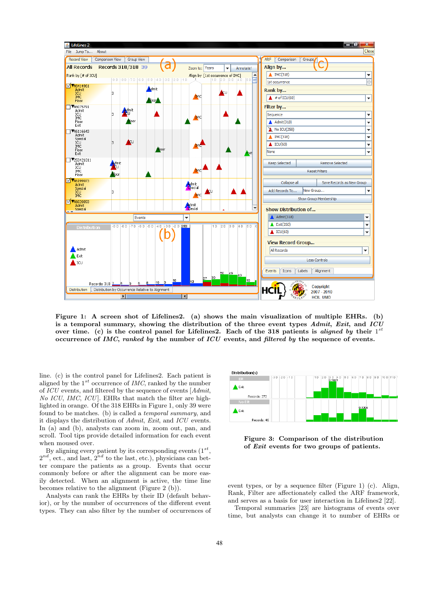

Figure 1: A screen shot of Lifelines2. (a) shows the main visualization of multiple EHRs. (b) is a temporal summary, showing the distribution of the three event types  $Admit$ , Exit, and ICU over time. (c) is the control panel for Lifelines2. Each of the 318 patients is aligned by their  $1^{st}$ occurrence of IMC, ranked by the number of ICU events, and filtered by the sequence of events.

line. (c) is the control panel for Lifelines2. Each patient is aligned by the  $1^{st}$  occurrence of *IMC*, ranked by the number of  $ICU$  events, and filtered by the sequence of events  $[Admit,$ No ICU, IMC, ICU|. EHRs that match the filter are highlighted in orange. Of the 318 EHRs in Figure 1, only 39 were found to be matches. (b) is called a temporal summary, and it displays the distribution of Admit, Exit, and ICU events. In (a) and (b), analysts can zoom in, zoom out, pan, and scroll. Tool tips provide detailed information for each event when moused over.

By aligning every patient by its corresponding events  $(1^{st},$  $2^{nd}$ , ect., and last,  $2^{nd}$  to the last, etc.), physicians can better compare the patients as a group. Events that occur commonly before or after the alignment can be more easily detected. When an alignment is active, the time line becomes relative to the alignment (Figure 2 (b)).

Analysts can rank the EHRs by their ID (default behavior), or by the number of occurrences of the different event types. They can also filter by the number of occurrences of



Figure 3: Comparison of the distribution of Exit events for two groups of patients.

event types, or by a sequence filter (Figure 1) (c). Align, Rank, Filter are affectionately called the ARF framework, and serves as a basis for user interaction in Lifelines2 [22].

Temporal summaries [23] are histograms of events over time, but analysts can change it to number of EHRs or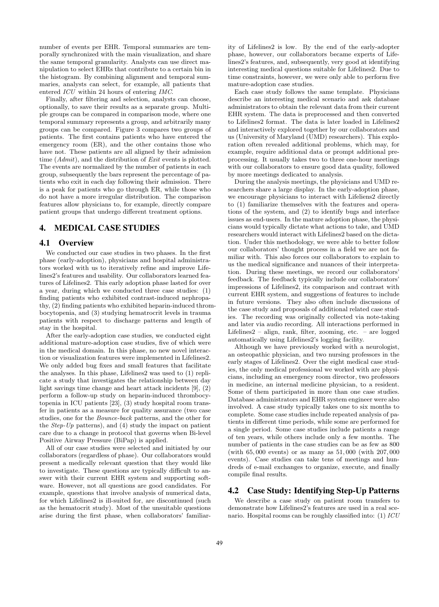number of events per EHR. Temporal summaries are temporally synchronized with the main visualization, and share the same temporal granularity. Analysts can use direct manipulation to select EHRs that contribute to a certain bin in the histogram. By combining alignment and temporal summaries, analysts can select, for example, all patients that entered ICU within 24 hours of entering IMC.

Finally, after filtering and selection, analysts can choose, optionally, to save their results as a separate group. Multiple groups can be compared in comparison mode, where one temporal summary represents a group, and arbitrarily many groups can be compared. Figure 3 compares two groups of patients. The first contains patients who have entered the emergency room (ER), and the other contains those who have not. These patients are all aligned by their admission time (*Admit*), and the distribution of *Exit* events is plotted. The events are normalized by the number of patients in each group, subsequently the bars represent the percentage of patients who exit in each day following their admission. There is a peak for patients who go through ER, while those who do not have a more irregular distribution. The comparison features allow physicians to, for example, directly compare patient groups that undergo different treatment options.

#### 4. MEDICAL CASE STUDIES

#### 4.1 Overview

We conducted our case studies in two phases. In the first phase (early-adoption), physicians and hospital administrators worked with us to iteratively refine and improve Lifelines2's features and usability. Our collaborators learned features of Lifelines2. This early adoption phase lasted for over a year, during which we conducted three case studies: (1) finding patients who exhibited contrast-induced nephropathy, (2) finding patients who exhibited heparin-induced thrombocytopenia, and (3) studying hematrocrit levels in trauma patients with respect to discharge patterns and length of stay in the hospital.

After the early-adoption case studies, we conducted eight additional mature-adoption case studies, five of which were in the medical domain. In this phase, no new novel interaction or visualization features were implemented in Lifelines2. We only added bug fixes and small features that facilitate the analyses. In this phase, Lifelines2 was used to (1) replicate a study that investigates the relationship between day light savings time change and heart attack incidents [9], (2) perform a follow-up study on heparin-induced thrombocytopenia in ICU patients [23], (3) study hospital room transfer in patients as a measure for quality assurance (two case studies, one for the Bounce-back patterns, and the other for the  $Step Up$  patterns), and (4) study the impact on patient care due to a change in protocol that governs when Bi-level Positive Airway Pressure (BiPap) is applied.

All of our case studies were selected and initiated by our collaborators (regardless of phase). Our collaborators would present a medically relevant question that they would like to investigate. These questions are typically difficult to answer with their current EHR system and supporting software. However, not all questions are good candidates. For example, questions that involve analysis of numerical data, for which Lifelines2 is ill-suited for, are discontinued (such as the hematocrit study). Most of the unsuitable questions arise during the first phase, when collaborators' familiarity of Lifelines2 is low. By the end of the early-adopter phase, however, our collaborators became experts of Lifelines2's features, and, subsequently, very good at identifying interesting medical questions suitable for Lifelines2. Due to time constraints, however, we were only able to perform five mature-adoption case studies.

Each case study follows the same template. Physicians describe an interesting medical scenario and ask database administrators to obtain the relevant data from their current EHR system. The data is preprocessed and then converted to Lifelines2 format. The data is later loaded in Lifelines2 and interactively explored together by our collaborators and us (University of Maryland (UMD) researchers). This exploration often revealed additional problems, which may, for example, require additional data or prompt additional preprocessing. It usually takes two to three one-hour meetings with our collaborators to ensure good data quality, followed by more meetings dedicated to analysis.

During the analysis meetings, the physicians and UMD researchers share a large display. In the early-adoption phase, we encourage physicians to interact with Lifeliens2 directly to (1) familiarize themselves with the features and operations of the system, and (2) to identify bugs and interface issues as end-users. In the mature adoption phase, the physicians would typically dictate what actions to take, and UMD researchers would interact with Lifelines2 based on the dictation. Under this methodology, we were able to better follow our collaborators' thought process in a field we are not familiar with. This also forces our collaborators to explain to us the medical significance and nuances of their interpretation. During these meetings, we record our collaborators' feedback. The feedback typically include our collaborators' impressions of Lifelines2, its comparison and contrast with current EHR system, and suggestions of features to include in future versions. They also often include discussions of the case study and proposals of additional related case studies. The recording was originally collected via note-taking and later via audio recording. All interactions performed in Lifelines2 – align, rank, filter, zooming, etc. – are logged automatically using Lifelines2's logging facility.

Although we have previously worked with a neurologist, an osteopathic physician, and two nursing professors in the early stages of Lifelines2. Over the eight medical case studies, the only medical professional we worked with are physicians, including an emergency room director, two professors in medicine, an internal medicine physician, to a resident. Some of them participated in more than one case studies. Database administrators and EHR system engineer were also involved. A case study typically takes one to six months to complete. Some case studies include repeated analysis of patients in different time periods, while some are performed for a single period. Some case studies include patients a range of ten years, while others include only a few months. The number of patients in the case studies can be as few as 800 (with 65, 000 events) or as many as 51, 000 (with 207, 000 events). Case studies can take tens of meetings and hundreds of e-mail exchanges to organize, execute, and finally compile final results.

## 4.2 Case Study: Identifying Step-Up Patterns

We describe a case study on patient room transfers to demonstrate how Lifelines2's features are used in a real scenario. Hospital rooms can be roughly classified into: (1) ICU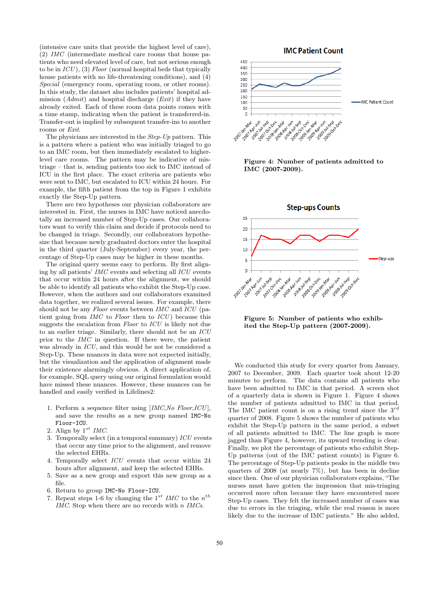(intensive care units that provide the highest level of care), (2) IMC (intermediate medical care rooms that house patients who need elevated level of care, but not serious enough to be in  $ICU$ ), (3) Floor (normal hospital beds that typically house patients with no life-threatening conditions), and  $(4)$ Special (emergency room, operating room, or other rooms). In this study, the dataset also includes patients' hospital admission  $(Admit)$  and hospital discharge  $(Exit)$  if they have already exited. Each of these room data points comes with a time stamp, indicating when the patient is transferred-in. Transfer-out is implied by subsequent transfer-ins to another rooms or Exit.

The physicians are interested in the Step-Up pattern. This is a pattern where a patient who was initially triaged to go to an IMC room, but then immediately escalated to higherlevel care rooms. The pattern may be indicative of mistriage – that is, sending patients too sick to IMC instead of ICU in the first place. The exact criteria are patients who were sent to IMC, but escalated to ICU within 24 hours. For example, the fifth patient from the top in Figure 1 exhibits exactly the Step-Up pattern.

There are two hypotheses our physician collaborators are interested in. First, the nurses in IMC have noticed anecdotally an increased number of Step-Up cases. Our collaborators want to verify this claim and decide if protocols need to be changed in triage. Secondly, our collaborators hypothesize that because newly graduated doctors enter the hospital in the third quarter (July-September) every year, the percentage of Step-Up cases may be higher in these months.

The original query seems easy to perform. By first aligning by all patients' IMC events and selecting all ICU events that occur within 24 hours after the alignment, we should be able to identify all patients who exhibit the Step-Up case. However, when the authors and our collaborators examined data together, we realized several issues. For example, there should not be any *Floor* events between *IMC* and *ICU* (patient going from  $IMC$  to Floor then to  $ICU$ ) because this suggests the escalation from Floor to ICU is likely not due to an earlier triage. Similarly, there should not be an ICU prior to the IMC in question. If there were, the patient was already in ICU, and this would be not be considered a Step-Up. These nuances in data were not expected initially, but the visualization and the application of alignment made their existence alarmingly obvious. A direct application of, for example, SQL query using our original formulation would have missed these nuances. However, these nuances can be handled and easily verified in Lifelines2:

- 1. Perform a sequence filter using  $[IMC, No \ Floor, ICU]$ , and save the results as a new group named IMC-No Floor-ICU.
- 2. Align by  $1^{st}$  IMC.
- 3. Temporally select (in a temporal summary) ICU events that occur any time prior to the alignment, and remove the selected EHRs.
- 4. Temporally select ICU events that occur within 24 hours after alignment, and keep the selected EHRs.
- 5. Save as a new group and export this new group as a file.
- 6. Return to group IMC-No Floor-ICU.
- 7. Repeat steps 1-6 by changing the  $1^{st}$  *IMC* to the  $n^{th}$ IMC. Stop when there are no records with n IMCs.



Figure 4: Number of patients admitted to IMC (2007-2009).



Figure 5: Number of patients who exhibited the Step-Up pattern (2007-2009).

We conducted this study for every quarter from January, 2007 to December, 2009. Each quarter took about 12-20 minutes to perform. The data contains all patients who have been admitted to IMC in that period. A screen shot of a quarterly data is shown in Figure 1. Figure 4 shows the number of patients admitted to IMC in that period. The IMC patient count is on a rising trend since the  $3^{rd}$ quarter of 2008. Figure 5 shows the number of patients who exhibit the Step-Up pattern in the same period, a subset of all patients admitted to IMC. The line graph is more jagged than Figure 4, however, its upward trending is clear. Finally, we plot the percentage of patients who exhibit Step-Up patterns (out of the IMC patient counts) in Figure 6. The percentage of Step-Up patients peaks in the middle two quarters of 2008 (at nearly 7%), but has been in decline since then. One of our physician collaborators explains, "The nurses must have gotten the impression that mis-triaging occurred more often because they have encountered more Step-Up cases. They felt the increased number of cases was due to errors in the triaging, while the real reason is more likely due to the increase of IMC patients." He also added,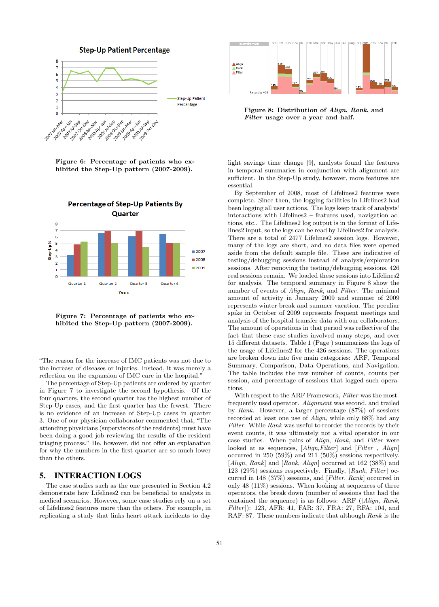

Figure 6: Percentage of patients who exhibited the Step-Up pattern (2007-2009).



Figure 7: Percentage of patients who exhibited the Step-Up pattern (2007-2009).

"The reason for the increase of IMC patients was not due to the increase of diseases or injuries. Instead, it was merely a reflection on the expansion of IMC care in the hospital."

The percentage of Step-Up patients are ordered by quarter in Figure 7 to investigate the second hypothesis. Of the four quarters, the second quarter has the highest number of Step-Up cases, and the first quarter has the fewest. There is no evidence of an increase of Step-Up cases in quarter 3. One of our physician collaborator commented that, "The attending physicians (supervisors of the residents) must have been doing a good job reviewing the results of the resident triaging process." He, however, did not offer an explanation for why the numbers in the first quarter are so much lower than the others.

#### 5. INTERACTION LOGS

The case studies such as the one presented in Section 4.2 demonstrate how Lifelines2 can be beneficial to analysts in medical scenarios. However, some case studies rely on a set of Lifelines2 features more than the others. For example, in replicating a study that links heart attack incidents to day



Figure 8: Distribution of Align, Rank, and Filter usage over a year and half.

light savings time change [9], analysts found the features in temporal summaries in conjunction with alignment are sufficient. In the Step-Up study, however, more features are essential.

By September of 2008, most of Lifelines2 features were complete. Since then, the logging facilities in Lifelines2 had been logging all user actions. The logs keep track of analysts' interactions with Lifelines2 – features used, navigation actions, etc.. The Lifelines2 log output is in the format of Lifelines2 input, so the logs can be read by Lifelines2 for analysis. There are a total of 2477 Lifelines2 session logs. However, many of the logs are short, and no data files were opened aside from the default sample file. These are indicative of testing/debugging sessions instead of analysis/exploration sessions. After removing the testing/debugging sessions, 426 real sessions remain. We loaded these sessions into Lifelines2 for analysis. The temporal summary in Figure 8 show the number of events of Align, Rank, and Filter. The minimal amount of activity in January 2009 and summer of 2009 represents winter break and summer vacation. The peculiar spike in October of 2009 represents frequent meetings and analysis of the hospital transfer data with our collaborators. The amount of operations in that period was reflective of the fact that these case studies involved many steps, and over 15 different datasets. Table 1 (Page ) summarizes the logs of the usage of Lifelines2 for the 426 sessions. The operations are broken down into five main categories: ARF, Temporal Summary, Comparison, Data Operations, and Navigation. The table includes the raw number of counts, counts per session, and percentage of sessions that logged such operations.

With respect to the ARF Framework, Filter was the mostfrequently used operator. Alignment was second, and trailed by Rank. However, a larger percentage (87%) of sessions recorded at least one use of Align, while only 68% had any Filter. While Rank was useful to reorder the records by their event counts, it was ultimately not a vital operator in our case studies. When pairs of Align, Rank, and Filter were looked at as sequences, [Align, Filter] and [Filter , Align] occurred in 250 (59%) and 211 (50%) sessions respectively. [*Align, Rank*] and [*Rank, Align*] occurred at 162 (38%) and 123 (29%) sessions respectively. Finally,  $[Rank, Filter]$  occurred in 148 (37%) sessions, and [Filter, Rank] occurred in only 48 (11%) sessions. When looking at sequences of three operators, the break down (number of sessions that had the contained the sequence) is as follows: ARF ([Align, Rank, Filter]): 123, AFR: 41, FAR: 37, FRA: 27, RFA: 104, and RAF: 87. These numbers indicate that although Rank is the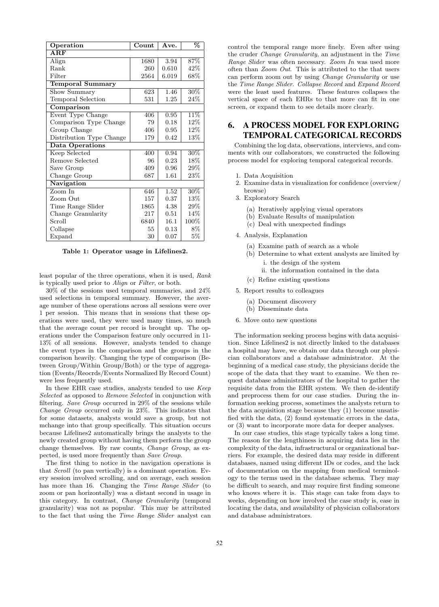| Operation                | Count | Ave.     | $\overline{\%}$ |
|--------------------------|-------|----------|-----------------|
| ARF                      |       |          |                 |
| Align                    | 1680  | 3.94     | 87\%            |
| Rank                     | 260   | 0.610    | $42\%$          |
| Filter                   | 2564  | 6.019    | 68\%            |
| <b>Temporal Summary</b>  |       |          |                 |
| Show Summary             | 623   | 1.46     | $30\%$          |
| Temporal Selection       | 531   | 1.25     | 24%             |
| Comparison               |       |          |                 |
| Event Type Change        | 406   | 0.95     | 11\%            |
| Comparison Type Change   | 79    | 0.18     | 12%             |
| Group Change             | 406   | 0.95     | 12%             |
| Distribution Type Change | 179   | 0.42     | 13%             |
| <b>Data Operations</b>   |       |          |                 |
| Keep Selected            | 400   | 0.94     | 30%             |
| Remove Selected          | 96    | 0.23     | 18%             |
| Save Group               | 409   | 0.96     | 29%             |
| Change Group             | 687   | 1.61     | 23\%            |
| Navigation               |       |          |                 |
| Zoom In                  | 646   | 1.52     | $30\%$          |
| Zoom Out                 | 157   | 0.37     | 13%             |
| Time Range Slider        | 1865  | 4.38     | $29\%$          |
| Change Granularity       | 217   | 0.51     | 14\%            |
| Scroll                   | 6840  | 16.1     | $100\%$         |
| Collapse                 | 55    | 0.13     | 8%              |
| Expand                   | 30    | $0.07\,$ | $5\%$           |

Table 1: Operator usage in Lifelines2.

least popular of the three operations, when it is used, Rank is typically used prior to Align or Filter, or both.

30% of the sessions used temporal summaries, and 24% used selections in temporal summary. However, the average number of these operations across all sessions were over 1 per session. This means that in sessions that these operations were used, they were used many times, so much that the average count per record is brought up. The operations under the Comparison feature only occurred in 11- 13% of all sessions. However, analysts tended to change the event types in the comparison and the groups in the comparison heavily. Changing the type of comparison (Between Group/Within Group/Both) or the type of aggregation (Events/Reocrds/Events Normalized By Record Count) were less frequently used.

In these EHR case studies, analysts tended to use Keep Selected as opposed to Remove Selected in conjunction with filtering. Save Group occurred in 29% of the sessions while Change Group occurred only in 23%. This indicates that for some datasets, analysts would save a group, but not mchange into that group specifically. This situation occurs because Lifelines2 automatically brings the analysts to the newly created group without having them perform the group change themselves. By raw counts, Change Group, as expected, is used more frequently than Save Group.

The first thing to notice in the navigation operations is that Scroll (to pan vertically) is a dominant operation. Every session involved scrolling, and on average, each session has more than 16. Changing the Time Range Slider (to zoom or pan horizontally) was a distant second in usage in this category. In contrast, Change Granularity (temporal granularity) was not as popular. This may be attributed to the fact that using the Time Range Slider analyst can control the temporal range more finely. Even after using the cruder Change Granularity, an adjustment in the Time Range Slider was often necessary. Zoom In was used more often than Zoom Out. This is attributed to the that users can perform zoom out by using Change Granularity or use the Time Range Slider. Collapse Record and Expand Record were the least used features. These features collapses the vertical space of each EHRs to that more can fit in one screen, or expand them to see details more clearly.

# 6. A PROCESS MODEL FOR EXPLORING TEMPORAL CATEGORICAL RECORDS

Combining the log data, observations, interviews, and comments with our collaborators, we constructed the following process model for exploring temporal categorical records.

- 1. Data Acquisition
- 2. Examine data in visualization for confidence (overview/ browse)
- 3. Exploratory Search
	- (a) Iteratively applying visual operators
	- (b) Evaluate Results of manipulation
	- (c) Deal with unexpected findings
- 4. Analysis, Explanation
	- (a) Examine path of search as a whole
	- (b) Determine to what extent analysts are limited by
		- i. the design of the system
		- ii. the information contained in the data
	- (c) Refine existing questions
- 5. Report results to colleagues
	- (a) Document discovery
	- (b) Disseminate data
- 6. Move onto new questions

The information seeking process begins with data acquisition. Since Lifelines2 is not directly linked to the databases a hospital may have, we obtain our data through our physician collaborators and a database administrator. At the beginning of a medical case study, the physicians decide the scope of the data that they want to examine. We then request database administrators of the hospital to gather the requisite data from the EHR system. We then de-identify and preprocess them for our case studies. During the information seeking process, sometimes the analysts return to the data acquisition stage because they (1) become unsatisfied with the data, (2) found systematic errors in the data, or (3) want to incorporate more data for deeper analyses.

In our case studies, this stage typically takes a long time. The reason for the lengthiness in acquiring data lies in the complexity of the data, infrastructural or organizational barriers. For example, the desired data may reside in different databases, named using different IDs or codes, and the lack of documentation on the mapping from medical terminology to the terms used in the database schema. They may be difficult to search, and may require first finding someone who knows where it is. This stage can take from days to weeks, depending on how involved the case study is, ease in locating the data, and availability of physician collaborators and database administrators.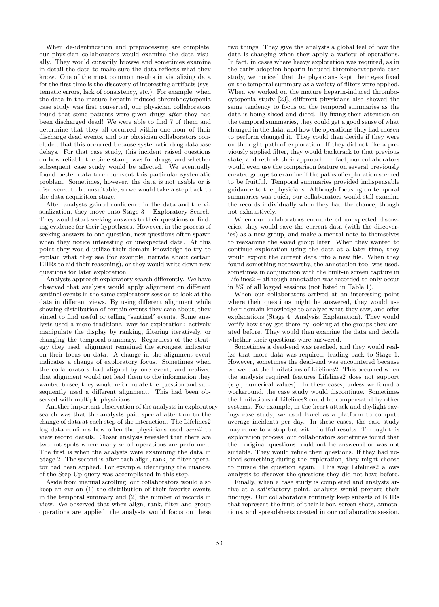When de-identification and preprocessing are complete, our physician collaborators would examine the data visually. They would cursorily browse and sometimes examine in detail the data to make sure the data reflects what they know. One of the most common results in visualizing data for the first time is the discovery of interesting artifacts (systematic errors, lack of consistency, etc.). For example, when the data in the mature heparin-induced thrombocytopenia case study was first converted, our physician collaborators found that some patients were given drugs after they had been discharged dead! We were able to find 7 of them and determine that they all occurred within one hour of their discharge dead events, and our physician collaborators concluded that this occurred because systematic drug database delays. For that case study, this incident raised questions on how reliable the time stamp was for drugs, and whether subsequent case study would be affected. We eventually found better data to circumvent this particular systematic problem. Sometimes, however, the data is not usable or is discovered to be unsuitable, so we would take a step back to the data acquisition stage.

After analysts gained confidence in the data and the visualization, they move onto Stage 3 – Exploratory Search. They would start seeking answers to their questions or finding evidence for their hypotheses. However, in the process of seeking answers to one question, new questions often spawn when they notice interesting or unexpected data. At this point they would utilize their domain knowledge to try to explain what they see (for example, narrate about certain EHRs to aid their reasoning), or they would write down new questions for later exploration.

Analysts approach exploratory search differently. We have observed that analysts would apply alignment on different sentinel events in the same exploratory session to look at the data in different views. By using different alignment while showing distribution of certain events they care about, they aimed to find useful or telling "sentinel" events. Some analysts used a more traditional way for exploration: actively manipulate the display by ranking, filtering iteratively, or changing the temporal summary. Regardless of the strategy they used, alignment remained the strongest indicator on their focus on data. A change in the alignment event indicates a change of exploratory focus. Sometimes when the collaborators had aligned by one event, and realized that alignment would not lead them to the information they wanted to see, they would reformulate the question and subsequently used a different alignment. This had been observed with multiple physicians.

Another important observation of the analysts in exploratory search was that the analysts paid special attention to the change of data at each step of the interaction. The Lifelines2 log data confirms how often the physicians used Scroll to view record details. Closer analysis revealed that there are two hot spots where many scroll operations are performed. The first is when the analysts were examining the data in Stage 2. The second is after each align, rank, or filter operator had been applied. For example, identifying the nuances of the Step-Up query was accomplished in this step.

Aside from manual scrolling, our collaborators would also keep an eye on (1) the distribution of their favorite events in the temporal summary and (2) the number of records in view. We observed that when align, rank, filter and group operations are applied, the analysts would focus on these two things. They give the analysts a global feel of how the data is changing when they apply a variety of operations. In fact, in cases where heavy exploration was required, as in the early adoption heparin-induced thrombocytopenia case study, we noticed that the physicians kept their eyes fixed on the temporal summary as a variety of filters were applied. When we worked on the mature heparin-induced thrombocytopenia study [23], different physicians also showed the same tendency to focus on the temporal summaries as the data is being sliced and diced. By fixing their attention on the temporal summaries, they could get a good sense of what changed in the data, and how the operations they had chosen to perform changed it. They could then decide if they were on the right path of exploration. If they did not like a previously applied filter, they would backtrack to that previous state, and rethink their approach. In fact, our collaborators would even use the comparison feature on several previously created groups to examine if the paths of exploration seemed to be fruitful. Temporal summaries provided indispensable guidance to the physicians. Although focusing on temporal summaries was quick, our collaborators would still examine the records individually when they had the chance, though not exhaustively.

When our collaborators encountered unexpected discoveries, they would save the current data (with the discoveries) as a new group, and make a mental note to themselves to reexamine the saved group later. When they wanted to continue exploration using the data at a later time, they would export the current data into a new file. When they found something noteworthy, the annotation tool was used, sometimes in conjunction with the built-in screen capture in Lifelines2 – although annotation was recorded to only occur in 5% of all logged sessions (not listed in Table 1).

When our collaborators arrived at an interesting point where their questions might be answered, they would use their domain knowledge to analyze what they saw, and offer explanations (Stage 4: Analysis, Explanation). They would verify how they got there by looking at the groups they created before. They would then examine the data and decide whether their questions were answered.

Sometimes a dead-end was reached, and they would realize that more data was required, leading back to Stage 1. However, sometimes the dead-end was encountered because we were at the limitations of Lifelines2. This occurred when the analysis required features Lifelines2 does not support (e.g., numerical values). In these cases, unless we found a workaround, the case study would discontinue. Sometimes the limitations of Lifelines2 could be compensated by other systems. For example, in the heart attack and daylight savings case study, we used Excel as a platform to compute average incidents per day. In these cases, the case study may come to a stop but with fruitful results. Through this exploration process, our collaborators sometimes found that their original questions could not be answered or was not suitable. They would refine their questions. If they had noticed something during the exploration, they might choose to pursue the question again. This way Lifelines2 allows analysts to discover the questions they did not have before.

Finally, when a case study is completed and analysts arrive at a satisfactory point, analysts would prepare their findings. Our collaborators routinely keep subsets of EHRs that represent the fruit of their labor, screen shots, annotations, and spreadsheets created in our collaborative session.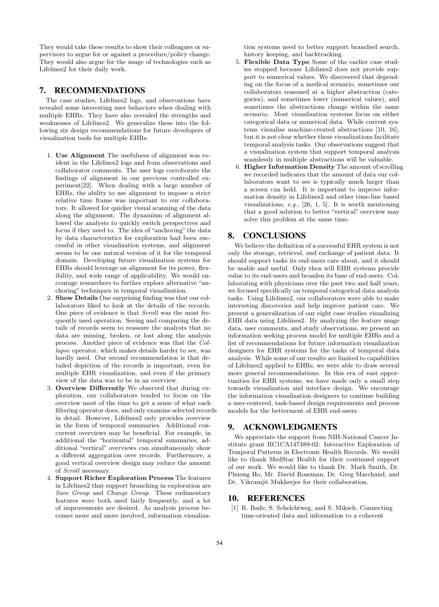They would take these results to show their colleagues or supervisors to argue for or against a procedure/policy change. They would also argue for the usage of technologies such as Lifelines2 for their daily work.

#### 7. RECOMMENDATIONS

The case studies, Lifelines2 logs, and observations have revealed some interesting user behaviors when dealing with multiple EHRs. They have also revealed the strengths and weaknesses of Lifelines2. We generalize these into the following six design recommendations for future developers of visualization tools for multiple EHRs.

- 1. Use Alignment The usefulness of alignment was evident in the Lifelines2 logs and from observations and collaborator comments. The user logs corroborate the findings of alignment in our previous controlled experiment[22]. When dealing with a large number of EHRs, the ability to use alignment to impose a strict relative time frame was important to our collaborators. It allowed for quicker visual scanning of the data along the alignment. The dynamism of alignment allowed the analysts to quickly switch perspectives and focus if they need to. The idea of "anchoring" the data by data characteristics for exploration had been successful in other visualization systems, and alignment seems to be one natural version of it for the temporal domain. Developing future visualization systems for EHRs should leverage on alignment for its power, flexibility, and wide range of applicability. We would encourage researchers to further explore alternative "anchoring" techniques in temporal visualization.
- 2. Show Details One surprising finding was that our collaborators liked to look at the details of the records. One piece of evidence is that Scroll was the most frequently used operation. Seeing and comparing the details of records seem to reassure the analysts that no data are missing, broken, or lost along the analysis process. Another piece of evidence was that the Collapse operator, which makes details harder to see, was hardly used. Our second recommendation is that detailed depiction of the records is important, even for multiple EHR visualization, and even if the primary view of the data was to be in an overview.
- 3. Overview Differently We observed that during exploration, our collaborators tended to focus on the overview most of the time to get a sense of what each filtering operator does, and only examine selected records in detail. However, Lifelines2 only provides overview in the form of temporal summaries. Additional concurrent overviews may be beneficial. For example, in additional the "horizontal" temporal summaries, additional "vertical" overviews can simultaneously show a different aggregation over records. Furthermore, a good vertical overview design may reduce the amount of Scroll necessary.
- 4. Support Richer Exploration Process The features in Lifelines2 that support branching in exploration are Save Group and Change Group. These rudimentary features were both used fairly frequently, and a lot of improvements are desired. As analysis process becomes more and more involved, information visualiza-

tion systems need to better support branched search, history keeping, and backtracking.

- 5. Flexible Data Type Some of the earlier case studies stopped because Lifelines2 does not provide support to numerical values. We discovered that depending on the focus of a medical scenario, sometimes our collaborators reasoned at a higher abstraction (categories), and sometimes lower (numerical values), and sometimes the abstractions change within the same scenario. Most visualization systems focus on either categorical data or numerical data. While current systems visualize machine-created abstractions [10, 16], but it is not clear whether these visualizations facilitate temporal analysis tasks. Our observations suggest that a visualization system that support temporal analysis seamlessly in multiple abstractions will be valuable.
- 6. Higher Information Density The amount of scrolling we recorded indicates that the amount of data our collaborators want to see is typically much larger than a screen can hold. It is important to improve information density in Lifelines2 and other time-line based visualizations,  $e.g., [26, 1, 5]$ . It is worth mentioning that a good solution to better "vertical" overview may solve this problem at the same time.

## 8. CONCLUSIONS

We believe the definition of a successful EHR system is not only the storage, retrieval, and exchange of patient data. It should support tasks its end-users care about, and it should be usable and useful. Only then will EHR systems provide value to its end-users and broaden its base of end-users. Collaborating with physicians over the past two and half years, we focused specifically on temporal categorical data analysis tasks. Using Lifelines2, our collaborators were able to make interesting discoveries and help improve patient care. We present a generalization of our eight case studies visualizing EHR data using Lifelines2. By analyzing the feature usage data, user comments, and study observations, we present an information seeking process model for multiple EHRs and a list of recommendations for future information visualization designers for EHR systems for the tasks of temporal data analysis. While some of our results are limited to capabilities of Lifelines2 applied to EHRs, we were able to draw several more general recommendations. In this era of vast opportunities for EHR systems, we have made only a small step towards visualization and interface design. We encourage the information visualization designers to continue building a user-centered, task-based design requirements and process models for the betterment of EHR end-users.

#### 9. ACKNOWLEDGMENTS

We appreciate the support from NIH-National Cancer Institute grant RC1CA147489-02: Interactive Exploration of Temporal Patterns in Electronic Health Records. We would like to thank MedStar Health for their continued support of our work. We would like to thank Dr. Mark Smith, Dr. Phuong Ho, Mr. David Roseman, Dr. Greg Marchand, and Dr. Vikramjit Mukherjee for their collaboration.

#### 10. REFERENCES

[1] R. Bade, S. Schelchtweg, and S. Miksch. Connecting time-oriented data and information to a coherent